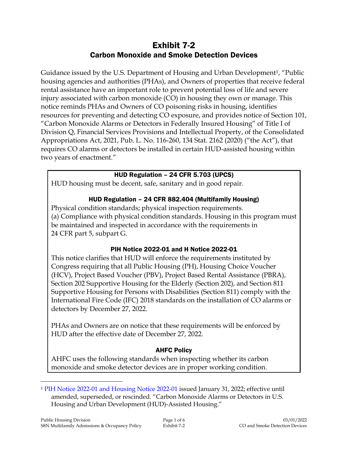# Exhibit 7-2 Carbon Monoxide and Smoke Detection Devices

Guidance issued by the U.S. Department of Housing and Urban Development<sup>1</sup>, "Public housing agencies and authorities (PHAs), and Owners of properties that receive federal rental assistance have an important role to prevent potential loss of life and severe injury associated with carbon monoxide (CO) in housing they own or manage. This notice reminds PHAs and Owners of CO poisoning risks in housing, identifies resources for preventing and detecting CO exposure, and provides notice of Section 101, "Carbon Monoxide Alarms or Detectors in Federally Insured Housing" of Title I of Division Q, Financial Services Provisions and Intellectual Property, of the Consolidated Appropriations Act, 2021, Pub. L. No. 116-260, 134 Stat. 2162 (2020) ("the Act"), that requires CO alarms or detectors be installed in certain HUD-assisted housing within two years of enactment."

#### HUD Regulation – 24 CFR 5.703 (UPCS)

HUD housing must be decent, safe, sanitary and in good repair.

## HUD Regulation – 24 CFR 882.404 (Multifamily Housing)

Physical condition standards; physical inspection requirements. (a) Compliance with physical condition standards. Housing in this program must be maintained and inspected in accordance with the requirements in 24 CFR part 5, subpart G.

## PIH Notice 2022-01 and H Notice 2022-01

This notice clarifies that HUD will enforce the requirements instituted by Congress requiring that all Public Housing (PH), Housing Choice Voucher (HCV), Project Based Voucher (PBV), Project Based Rental Assistance (PBRA), Section 202 Supportive Housing for the Elderly (Section 202), and Section 811 Supportive Housing for Persons with Disabilities (Section 811) comply with the International Fire Code (IFC) 2018 standards on the installation of CO alarms or detectors by December 27, 2022.

PHAs and Owners are on notice that these requirements will be enforced by HUD after the effective date of December 27, 2022.

## AHFC Policy

AHFC uses the following standards when inspecting whether its carbon monoxide and smoke detector devices are in proper working condition.

 $\overline{a}$ 

<sup>1</sup> [PIH Notice 2022-01 and Housing Notice 2022-01](https://intranet/download_file/21317) issued January 31, 2022; effective until amended, superseded, or rescinded. "Carbon Monoxide Alarms or Detectors in U.S. Housing and Urban Development (HUD)-Assisted Housing."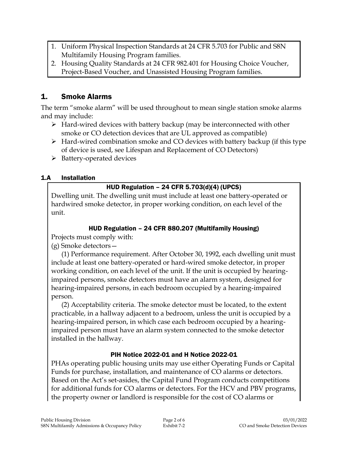- 1. Uniform Physical Inspection Standards at 24 CFR 5.703 for Public and S8N Multifamily Housing Program families.
- 2. Housing Quality Standards at 24 CFR 982.401 for Housing Choice Voucher, Project-Based Voucher, and Unassisted Housing Program families.

# 1. Smoke Alarms

The term "smoke alarm" will be used throughout to mean single station smoke alarms and may include:

- $\triangleright$  Hard-wired devices with battery backup (may be interconnected with other smoke or CO detection devices that are UL approved as compatible)
- $\triangleright$  Hard-wired combination smoke and CO devices with battery backup (if this type of device is used, see Lifespan and Replacement of CO Detectors)
- $\triangleright$  Battery-operated devices

## 1.A Installation

# HUD Regulation – 24 CFR 5.703(d)(4) (UPCS)

Dwelling unit. The dwelling unit must include at least one battery-operated or hardwired smoke detector, in proper working condition, on each level of the unit.

## HUD Regulation – 24 CFR 880.207 (Multifamily Housing)

Projects must comply with:

(g) Smoke detectors—

(1) Performance requirement. After October 30, 1992, each dwelling unit must include at least one battery-operated or hard-wired smoke detector, in proper working condition, on each level of the unit. If the unit is occupied by hearingimpaired persons, smoke detectors must have an alarm system, designed for hearing-impaired persons, in each bedroom occupied by a hearing-impaired person.

(2) Acceptability criteria. The smoke detector must be located, to the extent practicable, in a hallway adjacent to a bedroom, unless the unit is occupied by a hearing-impaired person, in which case each bedroom occupied by a hearingimpaired person must have an alarm system connected to the smoke detector installed in the hallway.

## PIH Notice 2022-01 and H Notice 2022-01

PHAs operating public housing units may use either Operating Funds or Capital Funds for purchase, installation, and maintenance of CO alarms or detectors. Based on the Act's set-asides, the Capital Fund Program conducts competitions for additional funds for CO alarms or detectors. For the HCV and PBV programs, the property owner or landlord is responsible for the cost of CO alarms or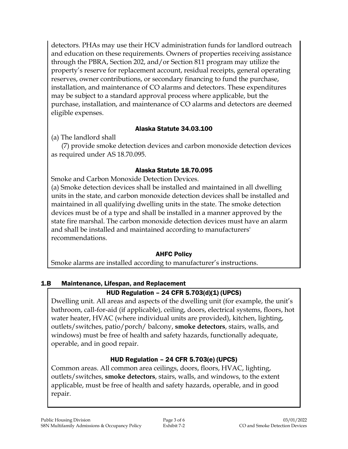detectors. PHAs may use their HCV administration funds for landlord outreach and education on these requirements. Owners of properties receiving assistance through the PBRA, Section 202, and/or Section 811 program may utilize the property's reserve for replacement account, residual receipts, general operating reserves, owner contributions, or secondary financing to fund the purchase, installation, and maintenance of CO alarms and detectors. These expenditures may be subject to a standard approval process where applicable, but the purchase, installation, and maintenance of CO alarms and detectors are deemed eligible expenses.

#### Alaska Statute 34.03.100

(a) The landlord shall

(7) provide smoke detection devices and carbon monoxide detection devices as required under AS 18.70.095.

## Alaska Statute 18.70.095

Smoke and Carbon Monoxide Detection Devices. (a) Smoke detection devices shall be installed and maintained in all dwelling units in the state, and carbon monoxide detection devices shall be installed and maintained in all qualifying dwelling units in the state. The smoke detection devices must be of a type and shall be installed in a manner approved by the state fire marshal. The carbon monoxide detection devices must have an alarm and shall be installed and maintained according to manufacturers' recommendations.

## AHFC Policy

Smoke alarms are installed according to manufacturer's instructions.

# 1.B Maintenance, Lifespan, and Replacement

# HUD Regulation – 24 CFR 5.703(d)(1) (UPCS)

Dwelling unit. All areas and aspects of the dwelling unit (for example, the unit's bathroom, call-for-aid (if applicable), ceiling, doors, electrical systems, floors, hot water heater, HVAC (where individual units are provided), kitchen, lighting, outlets/switches, patio/porch/ balcony, **smoke detectors**, stairs, walls, and windows) must be free of health and safety hazards, functionally adequate, operable, and in good repair.

# HUD Regulation – 24 CFR 5.703(e) (UPCS)

Common areas. All common area ceilings, doors, floors, HVAC, lighting, outlets/switches, **smoke detectors**, stairs, walls, and windows, to the extent applicable, must be free of health and safety hazards, operable, and in good repair.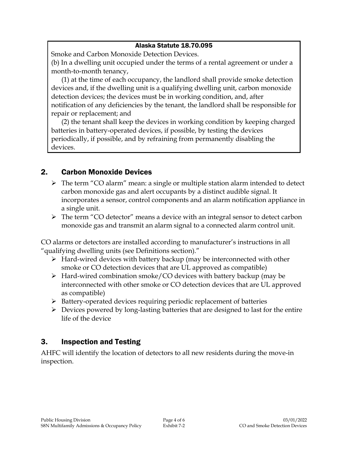#### Alaska Statute 18.70.095

Smoke and Carbon Monoxide Detection Devices.

(b) In a dwelling unit occupied under the terms of a rental agreement or under a month-to-month tenancy,

(1) at the time of each occupancy, the landlord shall provide smoke detection devices and, if the dwelling unit is a qualifying dwelling unit, carbon monoxide detection devices; the devices must be in working condition, and, after notification of any deficiencies by the tenant, the landlord shall be responsible for repair or replacement; and

(2) the tenant shall keep the devices in working condition by keeping charged batteries in battery-operated devices, if possible, by testing the devices periodically, if possible, and by refraining from permanently disabling the devices.

# 2. Carbon Monoxide Devices

- > The term "CO alarm" mean: a single or multiple station alarm intended to detect carbon monoxide gas and alert occupants by a distinct audible signal. It incorporates a sensor, control components and an alarm notification appliance in a single unit.
- The term "CO detector" means a device with an integral sensor to detect carbon monoxide gas and transmit an alarm signal to a connected alarm control unit.

CO alarms or detectors are installed according to manufacturer's instructions in all "qualifying dwelling units (see Definitions section)."

- $\triangleright$  Hard-wired devices with battery backup (may be interconnected with other smoke or CO detection devices that are UL approved as compatible)
- $\triangleright$  Hard-wired combination smoke/CO devices with battery backup (may be interconnected with other smoke or CO detection devices that are UL approved as compatible)
- $\triangleright$  Battery-operated devices requiring periodic replacement of batteries
- $\triangleright$  Devices powered by long-lasting batteries that are designed to last for the entire life of the device

# 3. Inspection and Testing

AHFC will identify the location of detectors to all new residents during the move-in inspection.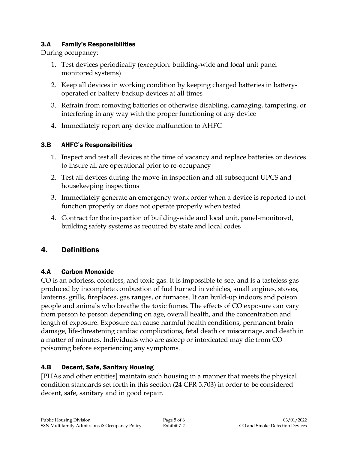#### 3.A Family's Responsibilities

During occupancy:

- 1. Test devices periodically (exception: building-wide and local unit panel monitored systems)
- 2. Keep all devices in working condition by keeping charged batteries in batteryoperated or battery-backup devices at all times
- 3. Refrain from removing batteries or otherwise disabling, damaging, tampering, or interfering in any way with the proper functioning of any device
- 4. Immediately report any device malfunction to AHFC

## 3.B AHFC's Responsibilities

- 1. Inspect and test all devices at the time of vacancy and replace batteries or devices to insure all are operational prior to re-occupancy
- 2. Test all devices during the move-in inspection and all subsequent UPCS and housekeeping inspections
- 3. Immediately generate an emergency work order when a device is reported to not function properly or does not operate properly when tested
- 4. Contract for the inspection of building-wide and local unit, panel-monitored, building safety systems as required by state and local codes

# 4. Definitions

# 4.A Carbon Monoxide

CO is an odorless, colorless, and toxic gas. It is impossible to see, and is a tasteless gas produced by incomplete combustion of fuel burned in vehicles, small engines, stoves, lanterns, grills, fireplaces, gas ranges, or furnaces. It can build-up indoors and poison people and animals who breathe the toxic fumes. The effects of CO exposure can vary from person to person depending on age, overall health, and the concentration and length of exposure. Exposure can cause harmful health conditions, permanent brain damage, life-threatening cardiac complications, fetal death or miscarriage, and death in a matter of minutes. Individuals who are asleep or intoxicated may die from CO poisoning before experiencing any symptoms.

# 4.B Decent, Safe, Sanitary Housing

[PHAs and other entities] maintain such housing in a manner that meets the physical condition standards set forth in this section (24 CFR 5.703) in order to be considered decent, safe, sanitary and in good repair.